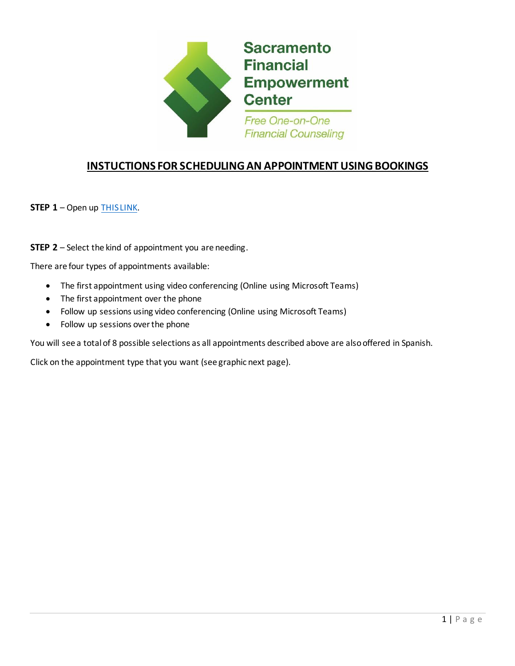

## **INSTUCTIONS FOR SCHEDULING AN APPOINTMENT USING BOOKINGS**

**STEP 1** – Open up [THIS LINK.](https://outlook.office365.com/owa/calendar/SacramentoFinancialEmpowermentCenter1@INTRescue.onmicrosoft.com/bookings/)

**STEP 2** – Select the kind of appointment you are needing.

There are four types of appointments available:

- The first appointment using video conferencing (Online using Microsoft Teams)
- The first appointment over the phone
- Follow up sessions using video conferencing (Online using Microsoft Teams)
- Follow up sessions over the phone

You will see a total of 8 possible selections as all appointments described above are also offered in Spanish.

Click on the appointment type that you want (see graphic next page).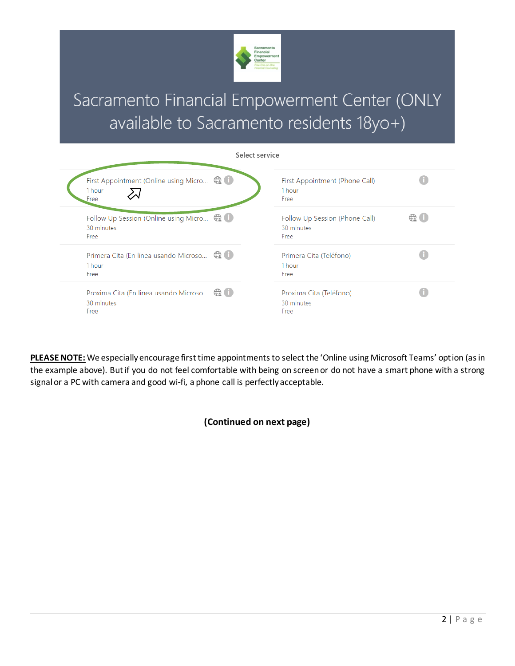

## Sacramento Financial Empowerment Center (ONLY available to Sacramento residents 18yo+)

| Select service                                                                  |                                                      |                 |
|---------------------------------------------------------------------------------|------------------------------------------------------|-----------------|
| First Appointment (Online using Micro $\bigoplus$ $\bigoplus$<br>1 hour<br>Free | First Appointment (Phone Call)<br>1 hour<br>Free     |                 |
| Follow Up Session (Online using Micro C.<br>30 minutes<br>Free                  | Follow Up Session (Phone Call)<br>30 minutes<br>Free | $\bigoplus$ (i) |
| Primera Cita (En línea usando Microso $\bigoplus$ 0<br>1 hour<br>Free           | Primera Cita (Teléfono)<br>1 hour<br>Free            |                 |
| Proxima Cita (En linea usando Microso $\bigoplus$<br>30 minutes<br>Free         | Proxima Cita (Teléfono)<br>30 minutes<br>Free        |                 |

**PLEASE NOTE:** We especially encourage first time appointments to select the 'Online using Microsoft Teams' option (as in the example above). But if you do not feel comfortable with being on screen or do not have a smart phone with a strong signal or a PC with camera and good wi-fi, a phone call is perfectly acceptable.

**(Continued on next page)**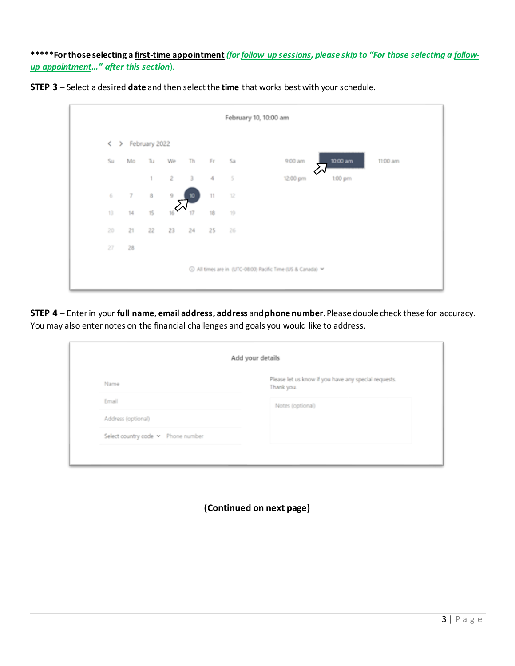**\*\*\*\*\*For those selecting a first-time appointment** *(forfollow up sessions, please skip to "For those selecting a followup appointment…" after this section*).



|                    |                |                |    |         |      |          | February 10, 10:00 am                                       |
|--------------------|----------------|----------------|----|---------|------|----------|-------------------------------------------------------------|
| $\rightarrow$<br>← |                | February 2022  |    |         |      |          |                                                             |
| Su                 | Mo             | Tu             | We | Th      | Fr   | Sa       | 10:00 am<br>9:00 am<br>11:00 am                             |
|                    |                | $\overline{1}$ |    | $2 \t3$ | $-4$ | $\sim$ 5 | 12:00 pm<br>1:00 pm                                         |
| 6                  | $\overline{x}$ | 8              | 9  | 10      | 11   | 12       |                                                             |
| 13                 | 14             | 15             | 16 | 17      | 18   | 19       |                                                             |
| 20                 | 21             | 22             | 23 | 24      | 25   | 26       |                                                             |
| 27                 | 28             |                |    |         |      |          |                                                             |
|                    |                |                |    |         |      |          | ⊙ All times are in (UTC-08:00) Pacific Time (US & Canada) > |

**STEP 4** – Enter in your **full name**, **email address, address** and **phone number**. Please double check these for accuracy. You may also enter notes on the financial challenges and goals you would like to address.

| Please let us know if you have any special requests. |
|------------------------------------------------------|
| Thank you.                                           |
| Notes (optional)                                     |
|                                                      |
|                                                      |
|                                                      |

**(Continued on next page)**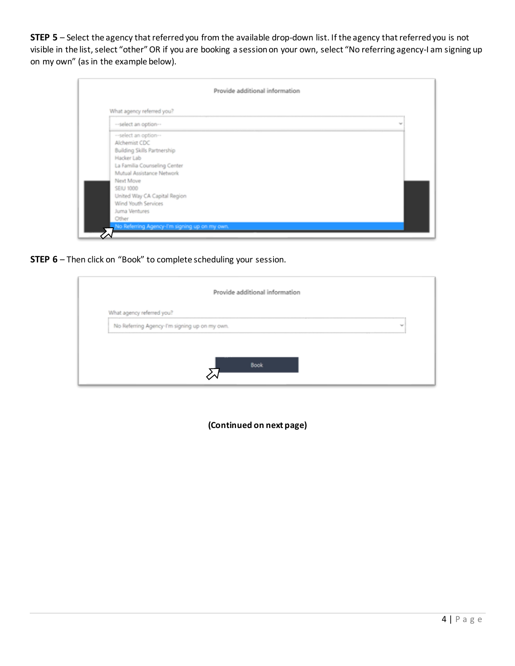**STEP 5** – Select the agency that referred you from the available drop-down list. If the agency that referred you is not visible in the list, select "other" OR if you are booking a session on your own, select "No referring agency-I am signing up on my own" (as in the example below).

|                                                                                                                                                                                                                                                                                                                    | Provide additional information |  |
|--------------------------------------------------------------------------------------------------------------------------------------------------------------------------------------------------------------------------------------------------------------------------------------------------------------------|--------------------------------|--|
| What agency referred you?                                                                                                                                                                                                                                                                                          |                                |  |
| --select an option--                                                                                                                                                                                                                                                                                               | $\sim$                         |  |
| --select an option--<br>Alchemist CDC<br><b>Building Skills Partnership</b><br>Hacker Lab<br>La Familia Counseling Center<br>Mutual Assistance Network<br>Next Move<br>SEIU 1000<br>United Way CA Capital Region<br>Wind Youth Services<br>Juma Ventures<br>Other<br>No Referring Agency-I'm signing up on my own. |                                |  |

**STEP 6** – Then click on "Book" to complete scheduling your session.

|                                                                                  | Provide additional information |        |
|----------------------------------------------------------------------------------|--------------------------------|--------|
| What agency referred you?                                                        |                                |        |
| No Referring Agency-I'm signing up on my own.<br>------------------------------- |                                | $\sim$ |
|                                                                                  |                                |        |
|                                                                                  |                                |        |

**(Continued on next page)**